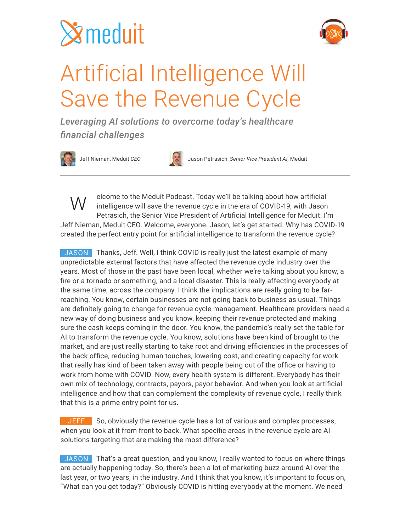# **Symeduit**



### Artificial Intelligence Will Save the Revenue Cycle

*Leveraging AI solutions to overcome today's healthcare financial challenges*





Jeff Nieman, Meduit *CEO* Jason Petrasich, *Senior Vice President AI,* Meduit

elcome to the Meduit Podcast. Today we'll be talking about how artificial intelligence will save the revenue cycle in the era of COVID-19, with Jason Petrasich, the Senior Vice President of Artificial Intelligence for Meduit. I'm Jeff Nieman, Meduit CEO. Welcome, everyone. Jason, let's get started. Why has COVID-19 created the perfect entry point for artificial intelligence to transform the revenue cycle? W

JASON Thanks, Jeff. Well, I think COVID is really just the latest example of many unpredictable external factors that have affected the revenue cycle industry over the years. Most of those in the past have been local, whether we're talking about you know, a fire or a tornado or something, and a local disaster. This is really affecting everybody at the same time, across the company. I think the implications are really going to be farreaching. You know, certain businesses are not going back to business as usual. Things are definitely going to change for revenue cycle management. Healthcare providers need a new way of doing business and you know, keeping their revenue protected and making sure the cash keeps coming in the door. You know, the pandemic's really set the table for AI to transform the revenue cycle. You know, solutions have been kind of brought to the market, and are just really starting to take root and driving efficiencies in the processes of the back office, reducing human touches, lowering cost, and creating capacity for work that really has kind of been taken away with people being out of the office or having to work from home with COVID. Now, every health system is different. Everybody has their own mix of technology, contracts, payors, payor behavior. And when you look at artificial intelligence and how that can complement the complexity of revenue cycle, I really think that this is a prime entry point for us.

**JEFF** So, obviously the revenue cycle has a lot of various and complex processes, when you look at it from front to back. What specific areas in the revenue cycle are AI solutions targeting that are making the most difference?

JASON That's a great question, and you know, I really wanted to focus on where things are actually happening today. So, there's been a lot of marketing buzz around AI over the last year, or two years, in the industry. And I think that you know, it's important to focus on, "What can you get today?" Obviously COVID is hitting everybody at the moment. We need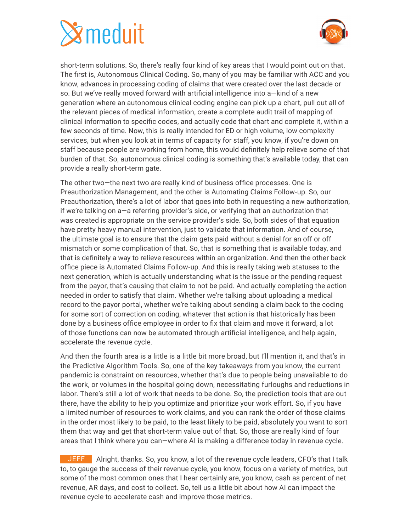

short-term solutions. So, there's really four kind of key areas that I would point out on that. The first is, Autonomous Clinical Coding. So, many of you may be familiar with ACC and you know, advances in processing coding of claims that were created over the last decade or so. But we've really moved forward with artificial intelligence into a—kind of a new generation where an autonomous clinical coding engine can pick up a chart, pull out all of the relevant pieces of medical information, create a complete audit trail of mapping of clinical information to specific codes, and actually code that chart and complete it, within a few seconds of time. Now, this is really intended for ED or high volume, low complexity services, but when you look at in terms of capacity for staff, you know, if you're down on staff because people are working from home, this would definitely help relieve some of that burden of that. So, autonomous clinical coding is something that's available today, that can provide a really short-term gate.

The other two—the next two are really kind of business office processes. One is Preauthorization Management, and the other is Automating Claims Follow-up. So, our Preauthorization, there's a lot of labor that goes into both in requesting a new authorization, if we're talking on a—a referring provider's side, or verifying that an authorization that was created is appropriate on the service provider's side. So, both sides of that equation have pretty heavy manual intervention, just to validate that information. And of course, the ultimate goal is to ensure that the claim gets paid without a denial for an off or off mismatch or some complication of that. So, that is something that is available today, and that is definitely a way to relieve resources within an organization. And then the other back office piece is Automated Claims Follow-up. And this is really taking web statuses to the next generation, which is actually understanding what is the issue or the pending request from the payor, that's causing that claim to not be paid. And actually completing the action needed in order to satisfy that claim. Whether we're talking about uploading a medical record to the payor portal, whether we're talking about sending a claim back to the coding for some sort of correction on coding, whatever that action is that historically has been done by a business office employee in order to fix that claim and move it forward, a lot of those functions can now be automated through artificial intelligence, and help again, accelerate the revenue cycle.

And then the fourth area is a little is a little bit more broad, but I'll mention it, and that's in the Predictive Algorithm Tools. So, one of the key takeaways from you know, the current pandemic is constraint on resources, whether that's due to people being unavailable to do the work, or volumes in the hospital going down, necessitating furloughs and reductions in labor. There's still a lot of work that needs to be done. So, the prediction tools that are out there, have the ability to help you optimize and prioritize your work effort. So, if you have a limited number of resources to work claims, and you can rank the order of those claims in the order most likely to be paid, to the least likely to be paid, absolutely you want to sort them that way and get that short-term value out of that. So, those are really kind of four areas that I think where you can—where AI is making a difference today in revenue cycle.

JEFF Alright, thanks. So, you know, a lot of the revenue cycle leaders, CFO's that I talk to, to gauge the success of their revenue cycle, you know, focus on a variety of metrics, but some of the most common ones that I hear certainly are, you know, cash as percent of net revenue, AR days, and cost to collect. So, tell us a little bit about how AI can impact the revenue cycle to accelerate cash and improve those metrics.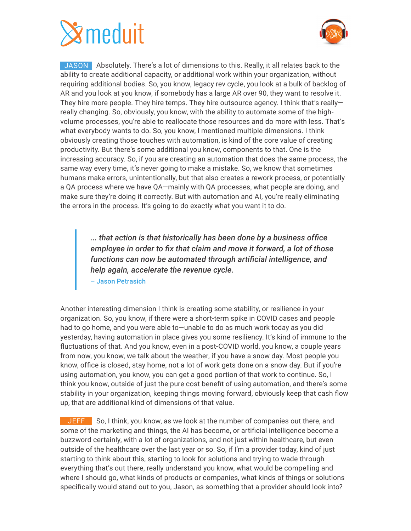

JASON Absolutely. There's a lot of dimensions to this. Really, it all relates back to the ability to create additional capacity, or additional work within your organization, without requiring additional bodies. So, you know, legacy rev cycle, you look at a bulk of backlog of AR and you look at you know, if somebody has a large AR over 90, they want to resolve it. They hire more people. They hire temps. They hire outsource agency. I think that's really really changing. So, obviously, you know, with the ability to automate some of the highvolume processes, you're able to reallocate those resources and do more with less. That's what everybody wants to do. So, you know, I mentioned multiple dimensions. I think obviously creating those touches with automation, is kind of the core value of creating productivity. But there's some additional you know, components to that. One is the increasing accuracy. So, if you are creating an automation that does the same process, the same way every time, it's never going to make a mistake. So, we know that sometimes humans make errors, unintentionally, but that also creates a rework process, or potentially a QA process where we have QA—mainly with QA processes, what people are doing, and make sure they're doing it correctly. But with automation and AI, you're really eliminating the errors in the process. It's going to do exactly what you want it to do.

*... that action is that historically has been done by a business office employee in order to fix that claim and move it forward, a lot of those functions can now be automated through artificial intelligence, and help again, accelerate the revenue cycle.*  – Jason Petrasich

Another interesting dimension I think is creating some stability, or resilience in your organization. So, you know, if there were a short-term spike in COVID cases and people had to go home, and you were able to—unable to do as much work today as you did yesterday, having automation in place gives you some resiliency. It's kind of immune to the fluctuations of that. And you know, even in a post-COVID world, you know, a couple years from now, you know, we talk about the weather, if you have a snow day. Most people you know, office is closed, stay home, not a lot of work gets done on a snow day. But if you're using automation, you know, you can get a good portion of that work to continue. So, I think you know, outside of just the pure cost benefit of using automation, and there's some stability in your organization, keeping things moving forward, obviously keep that cash flow up, that are additional kind of dimensions of that value.

**JEFF** So, I think, you know, as we look at the number of companies out there, and some of the marketing and things, the AI has become, or artificial intelligence become a buzzword certainly, with a lot of organizations, and not just within healthcare, but even outside of the healthcare over the last year or so. So, if I'm a provider today, kind of just starting to think about this, starting to look for solutions and trying to wade through everything that's out there, really understand you know, what would be compelling and where I should go, what kinds of products or companies, what kinds of things or solutions specifically would stand out to you, Jason, as something that a provider should look into?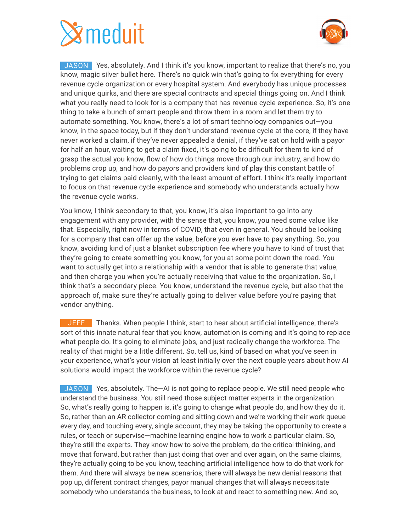

JASON Yes, absolutely. And I think it's you know, important to realize that there's no, you know, magic silver bullet here. There's no quick win that's going to fix everything for every revenue cycle organization or every hospital system. And everybody has unique processes and unique quirks, and there are special contracts and special things going on. And I think what you really need to look for is a company that has revenue cycle experience. So, it's one thing to take a bunch of smart people and throw them in a room and let them try to automate something. You know, there's a lot of smart technology companies out—you know, in the space today, but if they don't understand revenue cycle at the core, if they have never worked a claim, if they've never appealed a denial, if they've sat on hold with a payor for half an hour, waiting to get a claim fixed, it's going to be difficult for them to kind of grasp the actual you know, flow of how do things move through our industry, and how do problems crop up, and how do payors and providers kind of play this constant battle of trying to get claims paid cleanly, with the least amount of effort. I think it's really important to focus on that revenue cycle experience and somebody who understands actually how the revenue cycle works.

You know, I think secondary to that, you know, it's also important to go into any engagement with any provider, with the sense that, you know, you need some value like that. Especially, right now in terms of COVID, that even in general. You should be looking for a company that can offer up the value, before you ever have to pay anything. So, you know, avoiding kind of just a blanket subscription fee where you have to kind of trust that they're going to create something you know, for you at some point down the road. You want to actually get into a relationship with a vendor that is able to generate that value, and then charge you when you're actually receiving that value to the organization. So, I think that's a secondary piece. You know, understand the revenue cycle, but also that the approach of, make sure they're actually going to deliver value before you're paying that vendor anything.

**JEFF** Thanks. When people I think, start to hear about artificial intelligence, there's sort of this innate natural fear that you know, automation is coming and it's going to replace what people do. It's going to eliminate jobs, and just radically change the workforce. The reality of that might be a little different. So, tell us, kind of based on what you've seen in your experience, what's your vision at least initially over the next couple years about how AI solutions would impact the workforce within the revenue cycle?

JASON Yes, absolutely. The—AI is not going to replace people. We still need people who understand the business. You still need those subject matter experts in the organization. So, what's really going to happen is, it's going to change what people do, and how they do it. So, rather than an AR collector coming and sitting down and we're working their work queue every day, and touching every, single account, they may be taking the opportunity to create a rules, or teach or supervise—machine learning engine how to work a particular claim. So, they're still the experts. They know how to solve the problem, do the critical thinking, and move that forward, but rather than just doing that over and over again, on the same claims, they're actually going to be you know, teaching artificial intelligence how to do that work for them. And there will always be new scenarios, there will always be new denial reasons that pop up, different contract changes, payor manual changes that will always necessitate somebody who understands the business, to look at and react to something new. And so,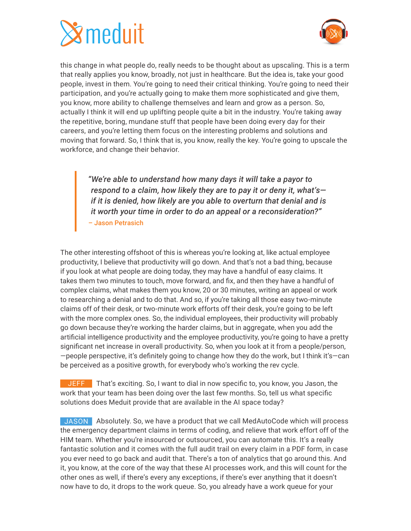

this change in what people do, really needs to be thought about as upscaling. This is a term that really applies you know, broadly, not just in healthcare. But the idea is, take your good people, invest in them. You're going to need their critical thinking. You're going to need their participation, and you're actually going to make them more sophisticated and give them, you know, more ability to challenge themselves and learn and grow as a person. So, actually I think it will end up uplifting people quite a bit in the industry. You're taking away the repetitive, boring, mundane stuff that people have been doing every day for their careers, and you're letting them focus on the interesting problems and solutions and moving that forward. So, I think that is, you know, really the key. You're going to upscale the workforce, and change their behavior.

*"We're able to understand how many days it will take a payor to respond to a claim, how likely they are to pay it or deny it, what's if it is denied, how likely are you able to overturn that denial and is it worth your time in order to do an appeal or a reconsideration?"* – Jason Petrasich

The other interesting offshoot of this is whereas you're looking at, like actual employee productivity, I believe that productivity will go down. And that's not a bad thing, because if you look at what people are doing today, they may have a handful of easy claims. It takes them two minutes to touch, move forward, and fix, and then they have a handful of complex claims, what makes them you know, 20 or 30 minutes, writing an appeal or work to researching a denial and to do that. And so, if you're taking all those easy two-minute claims off of their desk, or two-minute work efforts off their desk, you're going to be left with the more complex ones. So, the individual employees, their productivity will probably go down because they're working the harder claims, but in aggregate, when you add the artificial intelligence productivity and the employee productivity, you're going to have a pretty significant net increase in overall productivity. So, when you look at it from a people/person, —people perspective, it's definitely going to change how they do the work, but I think it's—can be perceived as a positive growth, for everybody who's working the rev cycle.

**JEFF** That's exciting. So, I want to dial in now specific to, you know, you Jason, the work that your team has been doing over the last few months. So, tell us what specific solutions does Meduit provide that are available in the AI space today?

JASON Absolutely. So, we have a product that we call MedAutoCode which will process the emergency department claims in terms of coding, and relieve that work effort off of the HIM team. Whether you're insourced or outsourced, you can automate this. It's a really fantastic solution and it comes with the full audit trail on every claim in a PDF form, in case you ever need to go back and audit that. There's a ton of analytics that go around this. And it, you know, at the core of the way that these AI processes work, and this will count for the other ones as well, if there's every any exceptions, if there's ever anything that it doesn't now have to do, it drops to the work queue. So, you already have a work queue for your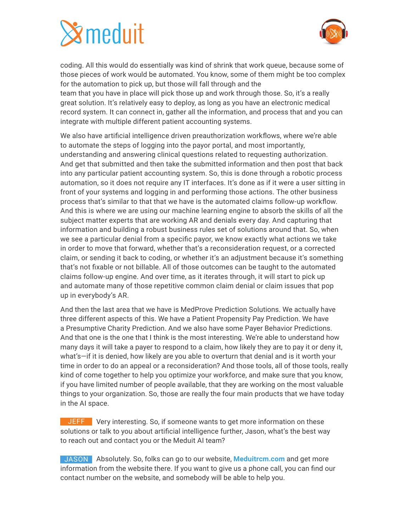

coding. All this would do essentially was kind of shrink that work queue, because some of those pieces of work would be automated. You know, some of them might be too complex for the automation to pick up, but those will fall through and the team that you have in place will pick those up and work through those. So, it's a really great solution. It's relatively easy to deploy, as long as you have an electronic medical record system. It can connect in, gather all the information, and process that and you can integrate with multiple different patient accounting systems.

We also have artificial intelligence driven preauthorization workflows, where we're able to automate the steps of logging into the payor portal, and most importantly, understanding and answering clinical questions related to requesting authorization. And get that submitted and then take the submitted information and then post that back into any particular patient accounting system. So, this is done through a robotic process automation, so it does not require any IT interfaces. It's done as if it were a user sitting in front of your systems and logging in and performing those actions. The other business process that's similar to that that we have is the automated claims follow-up workflow. And this is where we are using our machine learning engine to absorb the skills of all the subject matter experts that are working AR and denials every day. And capturing that information and building a robust business rules set of solutions around that. So, when we see a particular denial from a specific payor, we know exactly what actions we take in order to move that forward, whether that's a reconsideration request, or a corrected claim, or sending it back to coding, or whether it's an adjustment because it's something that's not fixable or not billable. All of those outcomes can be taught to the automated claims follow-up engine. And over time, as it iterates through, it will start to pick up and automate many of those repetitive common claim denial or claim issues that pop up in everybody's AR.

And then the last area that we have is MedProve Prediction Solutions. We actually have three different aspects of this. We have a Patient Propensity Pay Prediction. We have a Presumptive Charity Prediction. And we also have some Payer Behavior Predictions. And that one is the one that I think is the most interesting. We're able to understand how many days it will take a payer to respond to a claim, how likely they are to pay it or deny it, what's—if it is denied, how likely are you able to overturn that denial and is it worth your time in order to do an appeal or a reconsideration? And those tools, all of those tools, really kind of come together to help you optimize your workforce, and make sure that you know, if you have limited number of people available, that they are working on the most valuable things to your organization. So, those are really the four main products that we have today in the AI space.

JEFF Very interesting. So, if someone wants to get more information on these solutions or talk to you about artificial intelligence further, Jason, what's the best way to reach out and contact you or the Meduit AI team?

JASON Absolutely. So, folks can go to our website, **Meduitrcm.com** and get more information from the website there. If you want to give us a phone call, you can find our contact number on the website, and somebody will be able to help you.